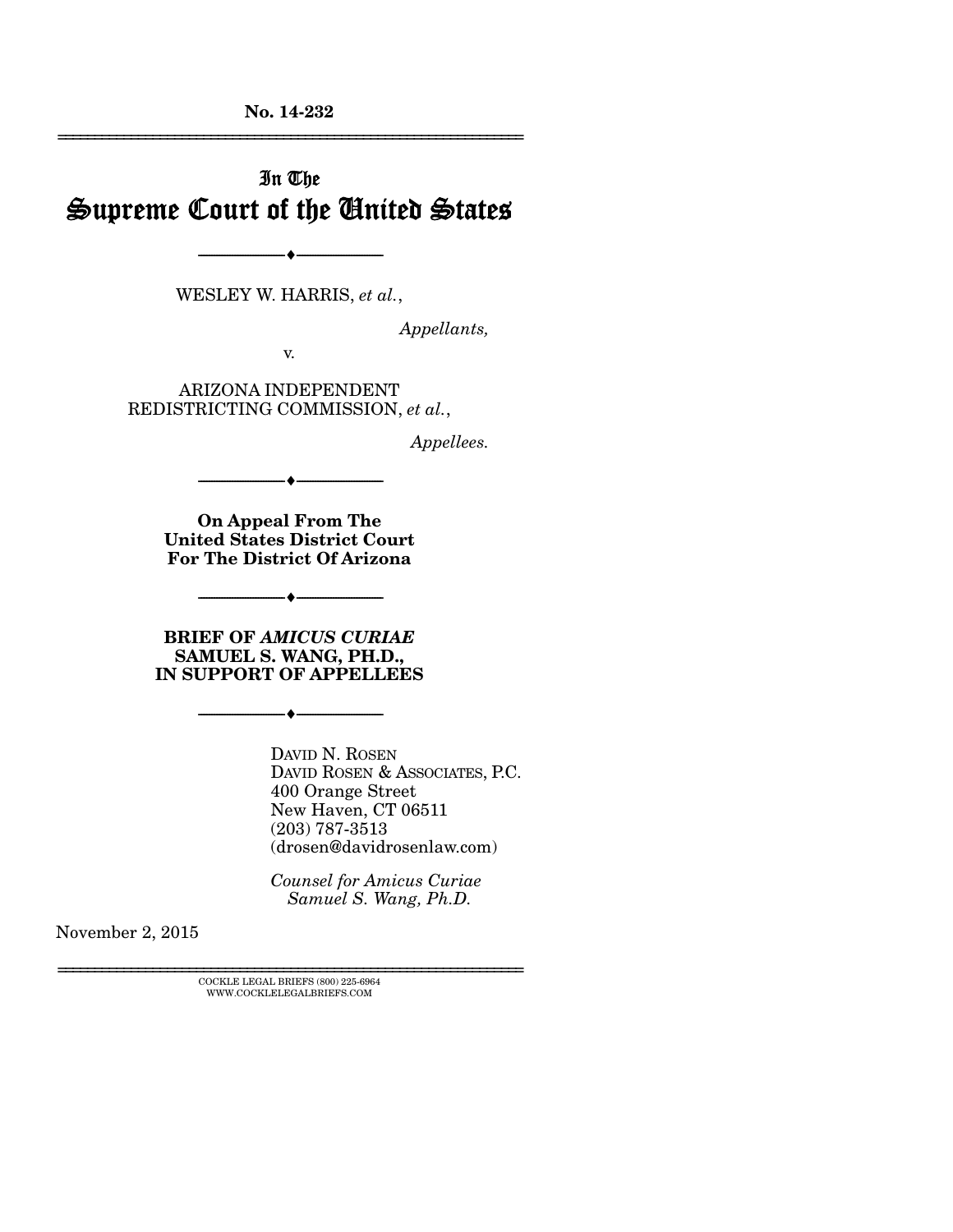**No. 14-232**  ================================================================

# In The Supreme Court of the United States

WESLEY W. HARRIS, *et al.*,

--------------------------------- ---------------------------------

*Appellants,* 

v.

ARIZONA INDEPENDENT REDISTRICTING COMMISSION, *et al.*,

*Appellees.* 

**On Appeal From The United States District Court For The District Of Arizona** 

--------------------------------- ---------------------------------

**BRIEF OF** *AMICUS CURIAE* **SAMUEL S. WANG, PH.D., IN SUPPORT OF APPELLEES** 

--------------------------------- ---------------------------------

--------------------------------- ---------------------------------

DAVID N. ROSEN DAVID ROSEN & ASSOCIATES, P.C. 400 Orange Street New Haven, CT 06511 (203) 787-3513 (drosen@davidrosenlaw.com)

*Counsel for Amicus Curiae Samuel S. Wang, Ph.D.*

November 2, 2015

 $\textsc{COCKLE}$  LEGAL BRIEFS (800) 225-6964 WWW.COCKLELEGALBRIEFS.COM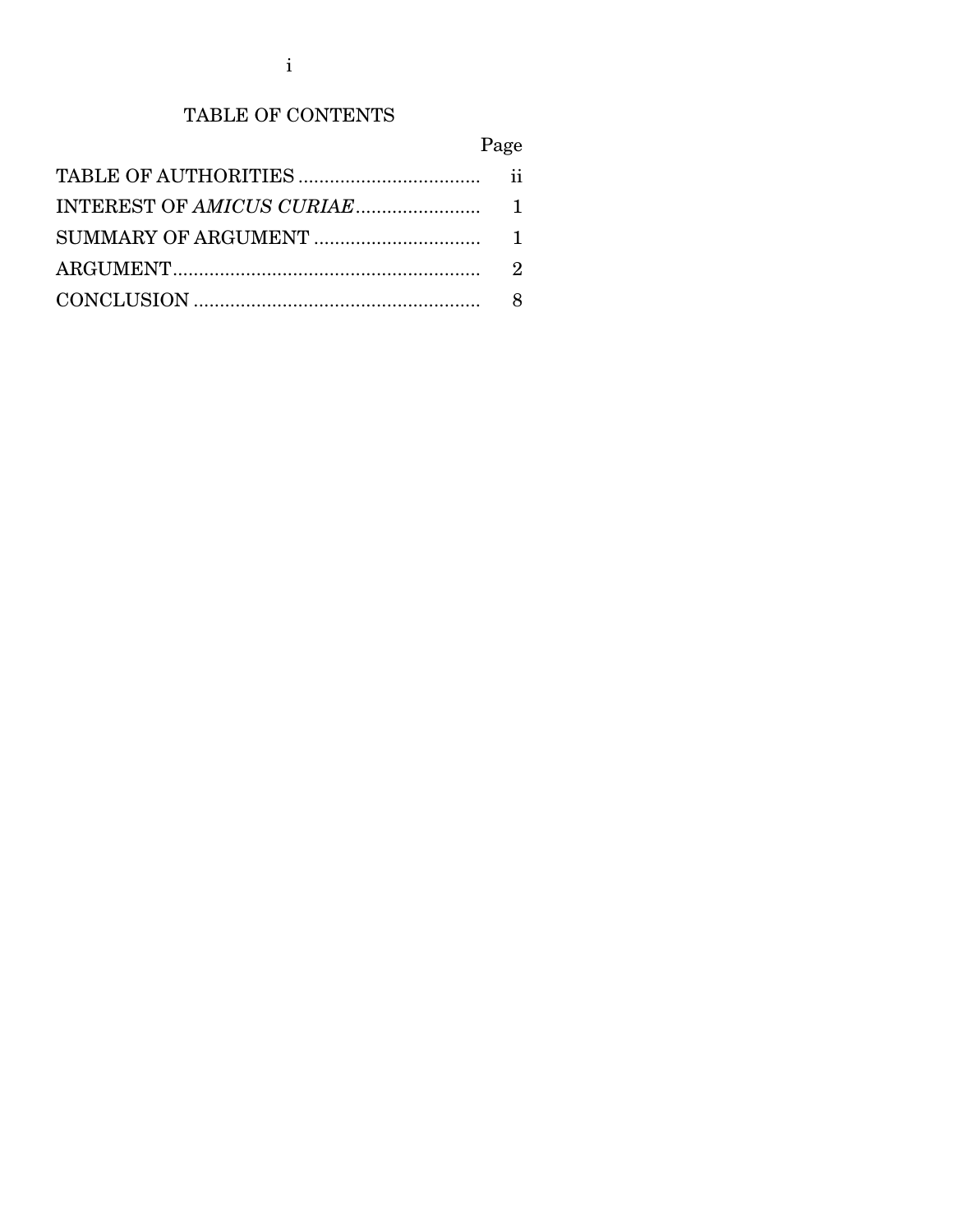## TABLE OF CONTENTS

## Page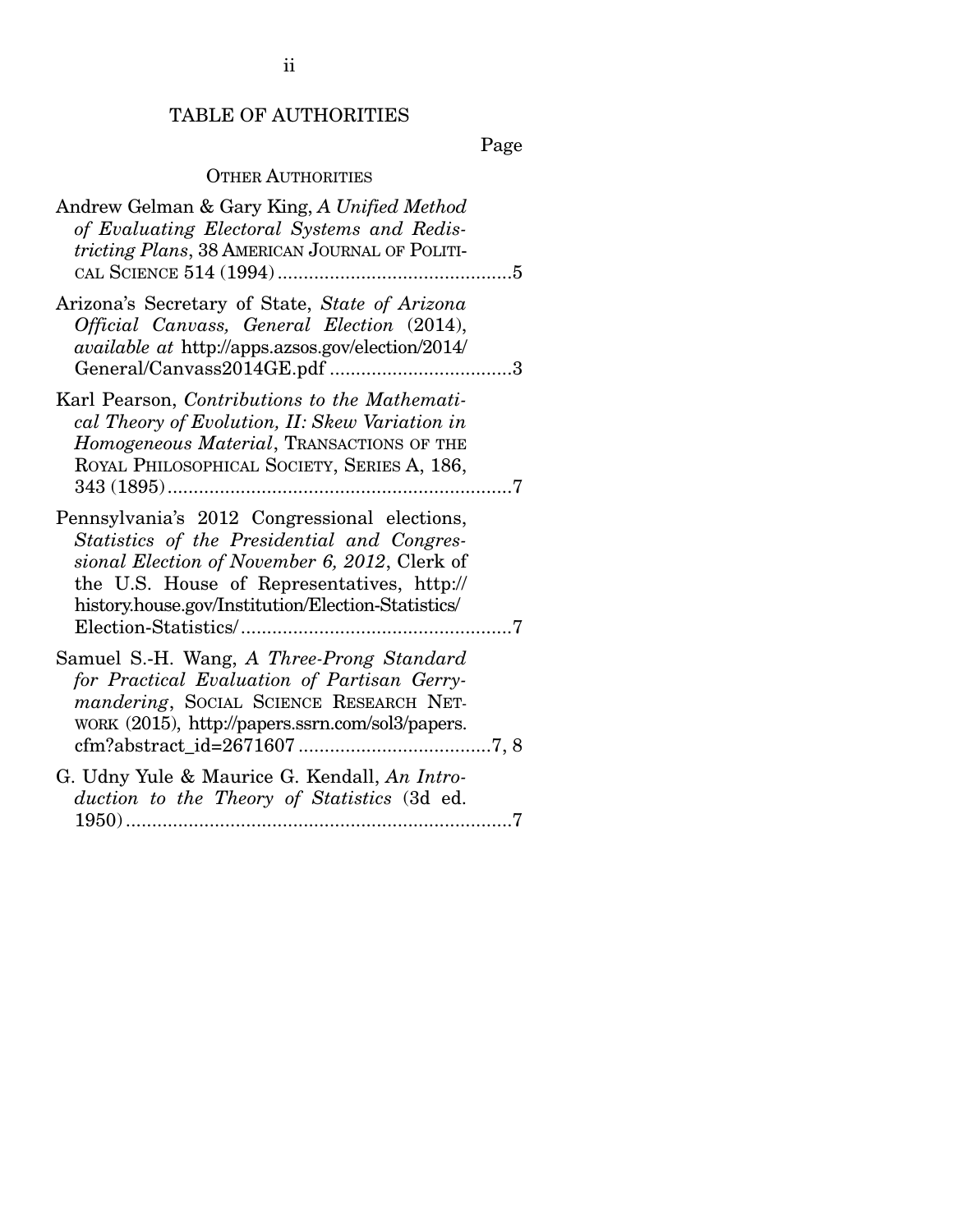## TABLE OF AUTHORITIES

Page

### OTHER AUTHORITIES

| Andrew Gelman & Gary King, A Unified Method<br>of Evaluating Electoral Systems and Redis-<br>tricting Plans, 38 AMERICAN JOURNAL OF POLITI-                                                                                                      |  |
|--------------------------------------------------------------------------------------------------------------------------------------------------------------------------------------------------------------------------------------------------|--|
| Arizona's Secretary of State, State of Arizona<br>Official Canvass, General Election (2014),<br><i>available at http://apps.azsos.gov/election/2014/</i>                                                                                         |  |
| Karl Pearson, Contributions to the Mathemati-<br>cal Theory of Evolution, II: Skew Variation in<br>Homogeneous Material, TRANSACTIONS OF THE<br>ROYAL PHILOSOPHICAL SOCIETY, SERIES A, 186,                                                      |  |
| Pennsylvania's 2012 Congressional elections,<br>Statistics of the Presidential and Congres-<br>sional Election of November 6, 2012, Clerk of<br>the U.S. House of Representatives, http://<br>history.house.gov/Institution/Election-Statistics/ |  |
| Samuel S.-H. Wang, A Three-Prong Standard<br>for Practical Evaluation of Partisan Gerry-<br>mandering, SOCIAL SCIENCE RESEARCH NET-<br>WORK (2015), http://papers.ssrn.com/sol3/papers.                                                          |  |
| G. Udny Yule & Maurice G. Kendall, An Intro-<br>duction to the Theory of Statistics (3d ed.                                                                                                                                                      |  |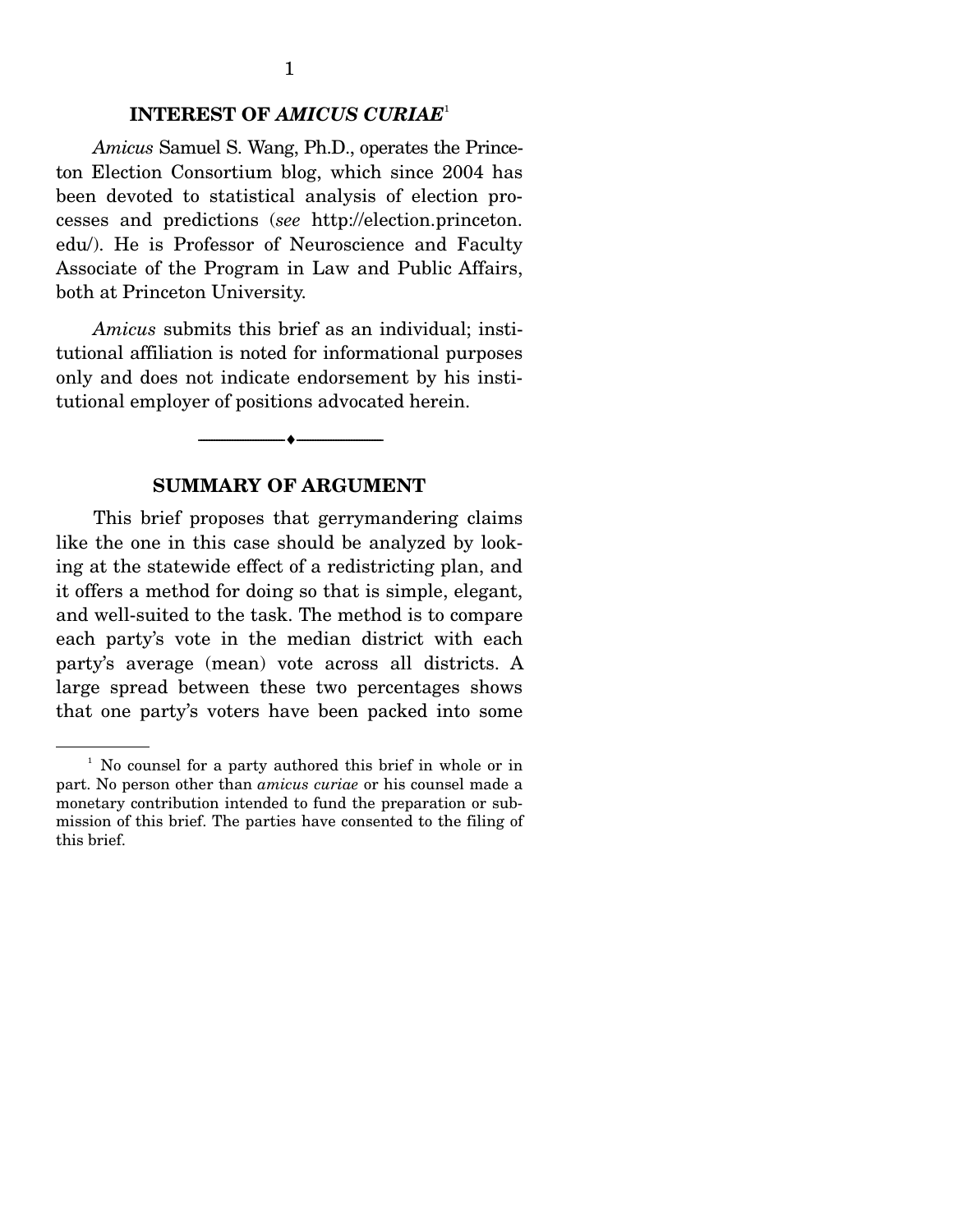### **INTEREST OF** *AMICUS CURIAE*<sup>1</sup>

*Amicus* Samuel S. Wang, Ph.D., operates the Princeton Election Consortium blog, which since 2004 has been devoted to statistical analysis of election processes and predictions (*see* http://election.princeton. edu/). He is Professor of Neuroscience and Faculty Associate of the Program in Law and Public Affairs, both at Princeton University.

*Amicus* submits this brief as an individual; institutional affiliation is noted for informational purposes only and does not indicate endorsement by his institutional employer of positions advocated herein.

### **SUMMARY OF ARGUMENT**

--------------------------------- ---------------------------------

 This brief proposes that gerrymandering claims like the one in this case should be analyzed by looking at the statewide effect of a redistricting plan, and it offers a method for doing so that is simple, elegant, and well-suited to the task. The method is to compare each party's vote in the median district with each party's average (mean) vote across all districts. A large spread between these two percentages shows that one party's voters have been packed into some

<sup>&</sup>lt;sup>1</sup> No counsel for a party authored this brief in whole or in part. No person other than *amicus curiae* or his counsel made a monetary contribution intended to fund the preparation or submission of this brief. The parties have consented to the filing of this brief.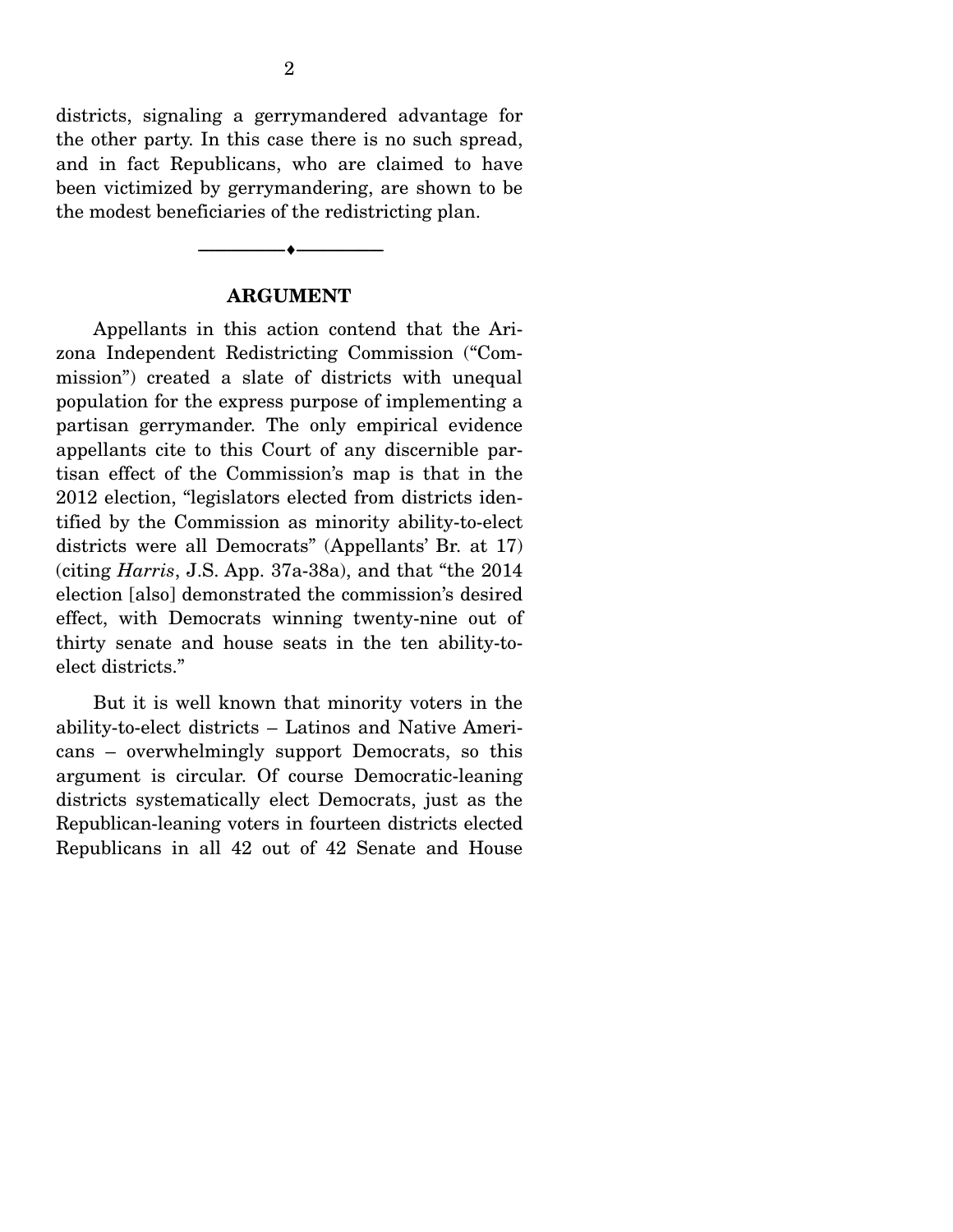districts, signaling a gerrymandered advantage for the other party. In this case there is no such spread, and in fact Republicans, who are claimed to have been victimized by gerrymandering, are shown to be the modest beneficiaries of the redistricting plan.

#### **ARGUMENT**

 $\longrightarrow$   $\longleftarrow$   $\longleftarrow$ 

 Appellants in this action contend that the Arizona Independent Redistricting Commission ("Commission") created a slate of districts with unequal population for the express purpose of implementing a partisan gerrymander. The only empirical evidence appellants cite to this Court of any discernible partisan effect of the Commission's map is that in the 2012 election, "legislators elected from districts identified by the Commission as minority ability-to-elect districts were all Democrats" (Appellants' Br. at 17) (citing *Harris*, J.S. App. 37a-38a), and that "the 2014 election [also] demonstrated the commission's desired effect, with Democrats winning twenty-nine out of thirty senate and house seats in the ten ability-toelect districts."

 But it is well known that minority voters in the ability-to-elect districts – Latinos and Native Americans – overwhelmingly support Democrats, so this argument is circular. Of course Democratic-leaning districts systematically elect Democrats, just as the Republican-leaning voters in fourteen districts elected Republicans in all 42 out of 42 Senate and House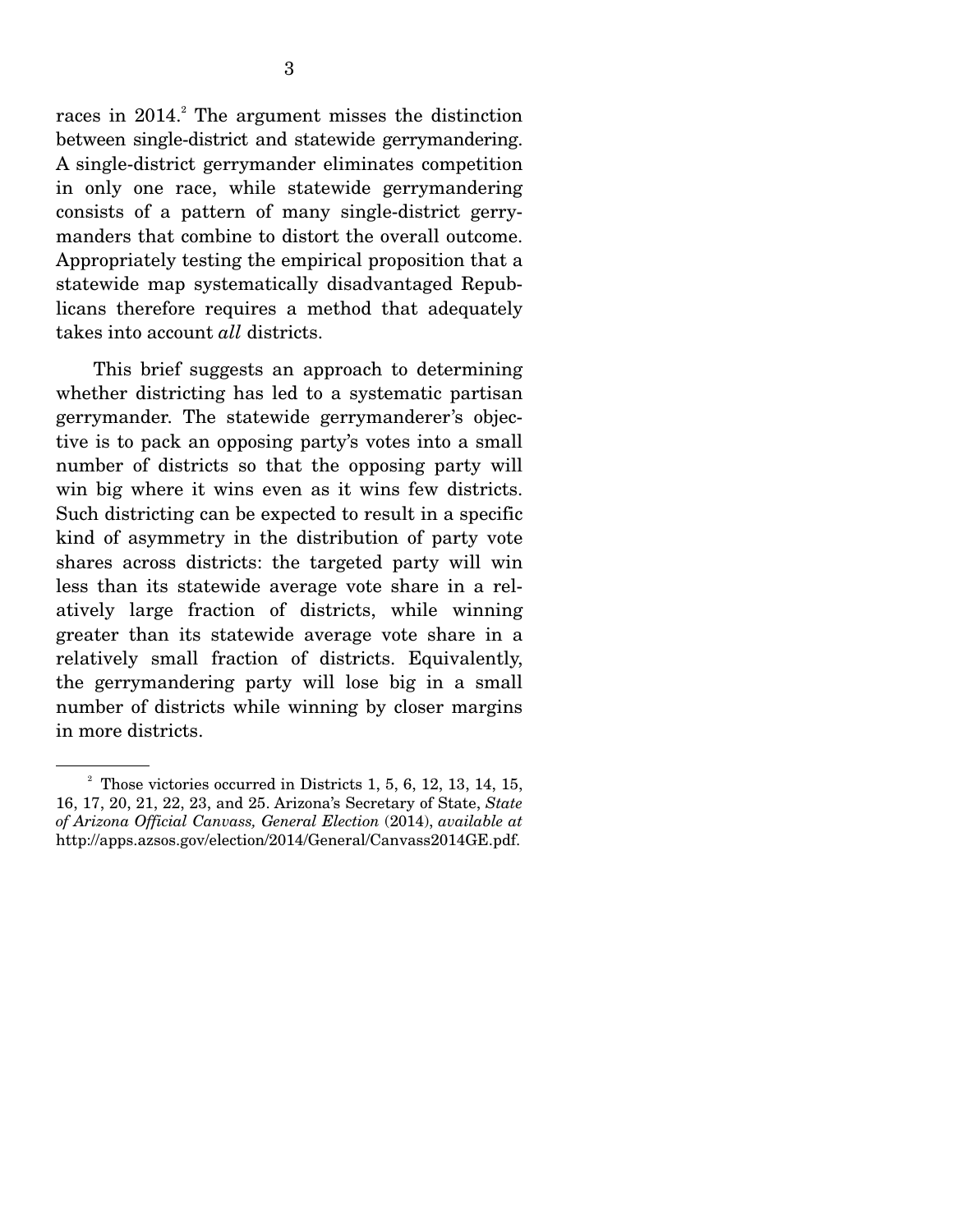races in  $2014$ .<sup>2</sup> The argument misses the distinction between single-district and statewide gerrymandering. A single-district gerrymander eliminates competition in only one race, while statewide gerrymandering consists of a pattern of many single-district gerrymanders that combine to distort the overall outcome. Appropriately testing the empirical proposition that a statewide map systematically disadvantaged Republicans therefore requires a method that adequately takes into account *all* districts.

 This brief suggests an approach to determining whether districting has led to a systematic partisan gerrymander. The statewide gerrymanderer's objective is to pack an opposing party's votes into a small number of districts so that the opposing party will win big where it wins even as it wins few districts. Such districting can be expected to result in a specific kind of asymmetry in the distribution of party vote shares across districts: the targeted party will win less than its statewide average vote share in a relatively large fraction of districts, while winning greater than its statewide average vote share in a relatively small fraction of districts. Equivalently, the gerrymandering party will lose big in a small number of districts while winning by closer margins in more districts.

 $2^2$  Those victories occurred in Districts 1, 5, 6, 12, 13, 14, 15, 16, 17, 20, 21, 22, 23, and 25. Arizona's Secretary of State, *State of Arizona Official Canvass, General Election* (2014), *available at* http://apps.azsos.gov/election/2014/General/Canvass2014GE.pdf.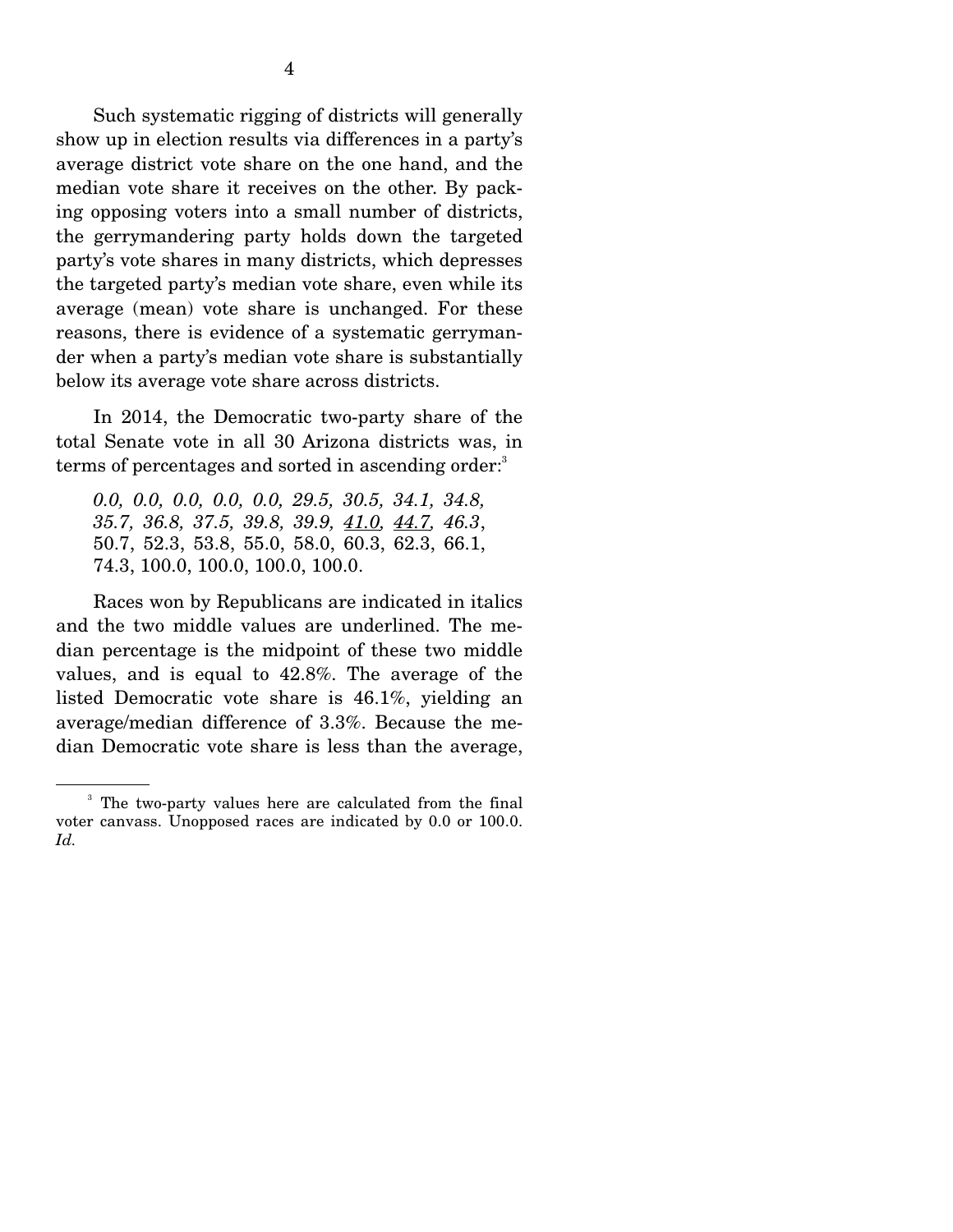Such systematic rigging of districts will generally show up in election results via differences in a party's average district vote share on the one hand, and the median vote share it receives on the other. By packing opposing voters into a small number of districts, the gerrymandering party holds down the targeted party's vote shares in many districts, which depresses the targeted party's median vote share, even while its average (mean) vote share is unchanged. For these reasons, there is evidence of a systematic gerrymander when a party's median vote share is substantially below its average vote share across districts.

 In 2014, the Democratic two-party share of the total Senate vote in all 30 Arizona districts was, in terms of percentages and sorted in ascending order:<sup>3</sup>

*0.0, 0.0, 0.0, 0.0, 0.0, 29.5, 30.5, 34.1, 34.8, 35.7, 36.8, 37.5, 39.8, 39.9, 41.0, 44.7, 46.3*, 50.7, 52.3, 53.8, 55.0, 58.0, 60.3, 62.3, 66.1, 74.3, 100.0, 100.0, 100.0, 100.0.

 Races won by Republicans are indicated in italics and the two middle values are underlined. The median percentage is the midpoint of these two middle values, and is equal to 42.8%. The average of the listed Democratic vote share is 46.1%, yielding an average/median difference of 3.3%. Because the median Democratic vote share is less than the average,

<sup>&</sup>lt;sup>3</sup> The two-party values here are calculated from the final voter canvass. Unopposed races are indicated by 0.0 or 100.0. *Id.*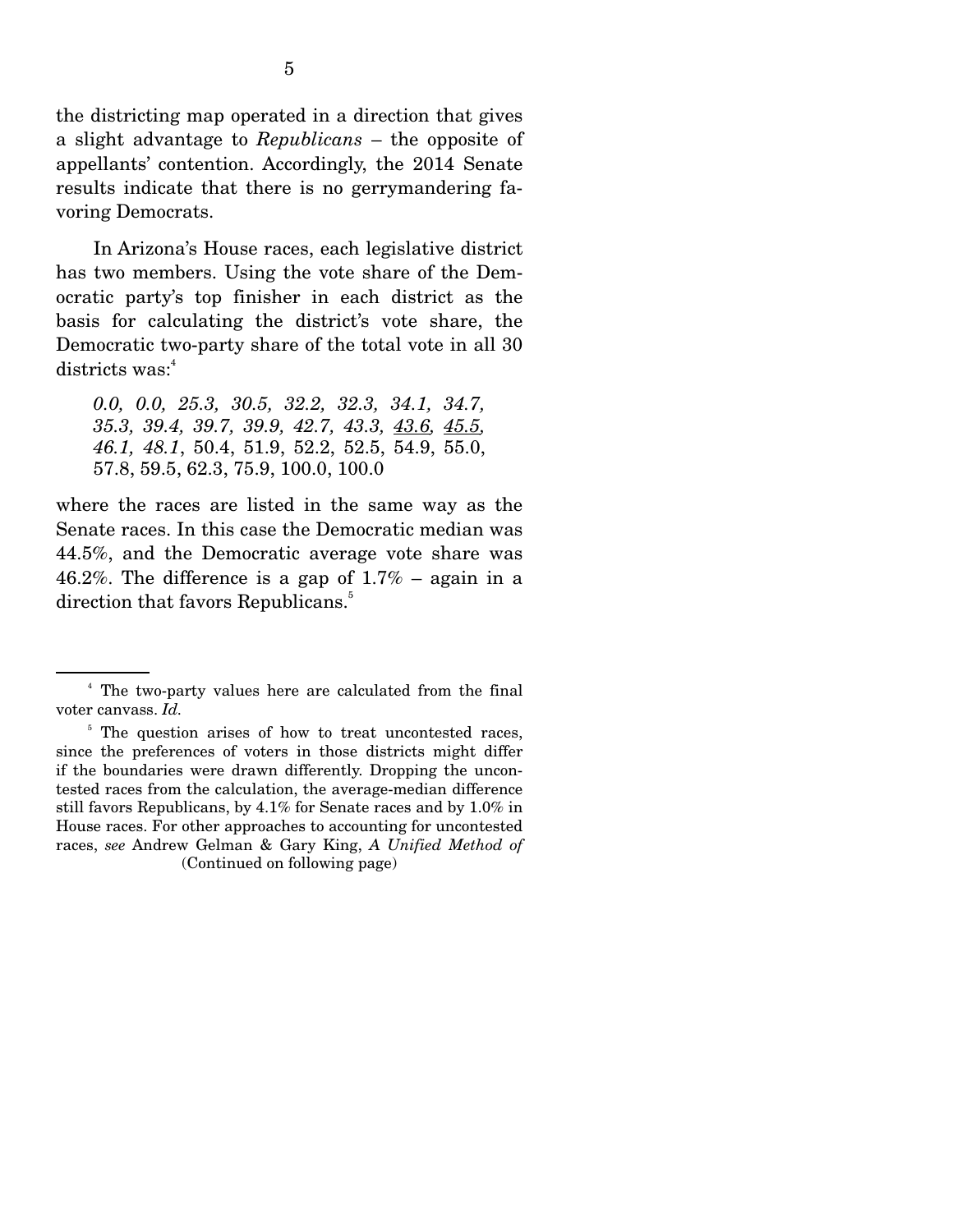the districting map operated in a direction that gives a slight advantage to *Republicans* – the opposite of appellants' contention. Accordingly, the 2014 Senate results indicate that there is no gerrymandering favoring Democrats.

 In Arizona's House races, each legislative district has two members. Using the vote share of the Democratic party's top finisher in each district as the basis for calculating the district's vote share, the Democratic two-party share of the total vote in all 30 districts was:<sup>4</sup>

*0.0, 0.0, 25.3, 30.5, 32.2, 32.3, 34.1, 34.7, 35.3, 39.4, 39.7, 39.9, 42.7, 43.3, 43.6, 45.5, 46.1, 48.1*, 50.4, 51.9, 52.2, 52.5, 54.9, 55.0, 57.8, 59.5, 62.3, 75.9, 100.0, 100.0

where the races are listed in the same way as the Senate races. In this case the Democratic median was 44.5%, and the Democratic average vote share was 46.2%. The difference is a gap of  $1.7\%$  – again in a direction that favors Republicans.<sup>5</sup>

<sup>4</sup> The two-party values here are calculated from the final voter canvass. *Id.*

<sup>&</sup>lt;sup>5</sup> The question arises of how to treat uncontested races, since the preferences of voters in those districts might differ if the boundaries were drawn differently. Dropping the uncontested races from the calculation, the average-median difference still favors Republicans, by 4.1% for Senate races and by 1.0% in House races. For other approaches to accounting for uncontested races, *see* Andrew Gelman & Gary King, *A Unified Method of*  (Continued on following page)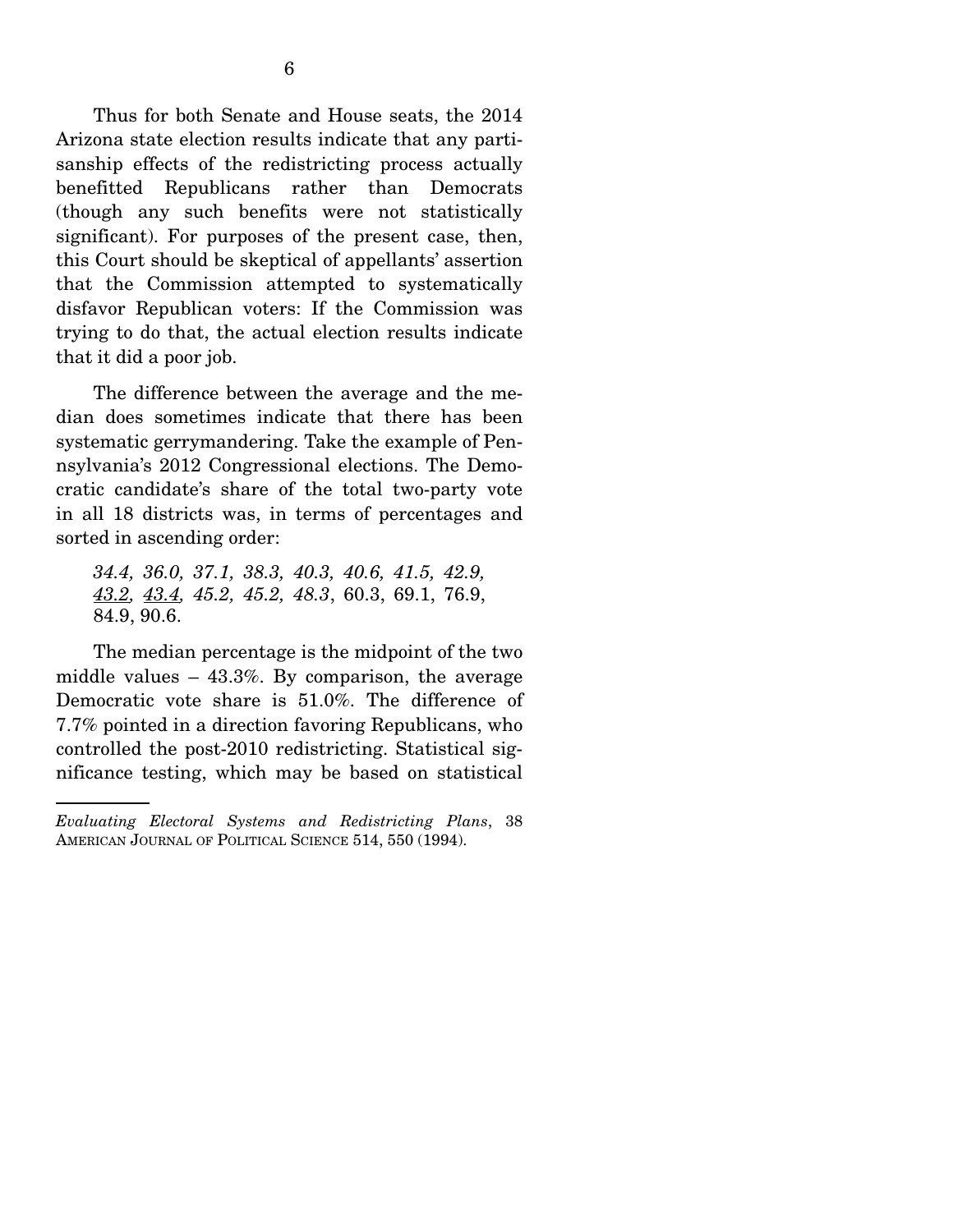Thus for both Senate and House seats, the 2014 Arizona state election results indicate that any partisanship effects of the redistricting process actually benefitted Republicans rather than Democrats (though any such benefits were not statistically significant). For purposes of the present case, then, this Court should be skeptical of appellants' assertion that the Commission attempted to systematically disfavor Republican voters: If the Commission was trying to do that, the actual election results indicate that it did a poor job.

 The difference between the average and the median does sometimes indicate that there has been systematic gerrymandering. Take the example of Pennsylvania's 2012 Congressional elections. The Democratic candidate's share of the total two-party vote in all 18 districts was, in terms of percentages and sorted in ascending order:

*34.4, 36.0, 37.1, 38.3, 40.3, 40.6, 41.5, 42.9, 43.2, 43.4, 45.2, 45.2, 48.3*, 60.3, 69.1, 76.9, 84.9, 90.6.

 The median percentage is the midpoint of the two middle values – 43.3%. By comparison, the average Democratic vote share is 51.0%. The difference of 7.7% pointed in a direction favoring Republicans, who controlled the post-2010 redistricting. Statistical significance testing, which may be based on statistical

*Evaluating Electoral Systems and Redistricting Plans*, 38 AMERICAN JOURNAL OF POLITICAL SCIENCE 514, 550 (1994).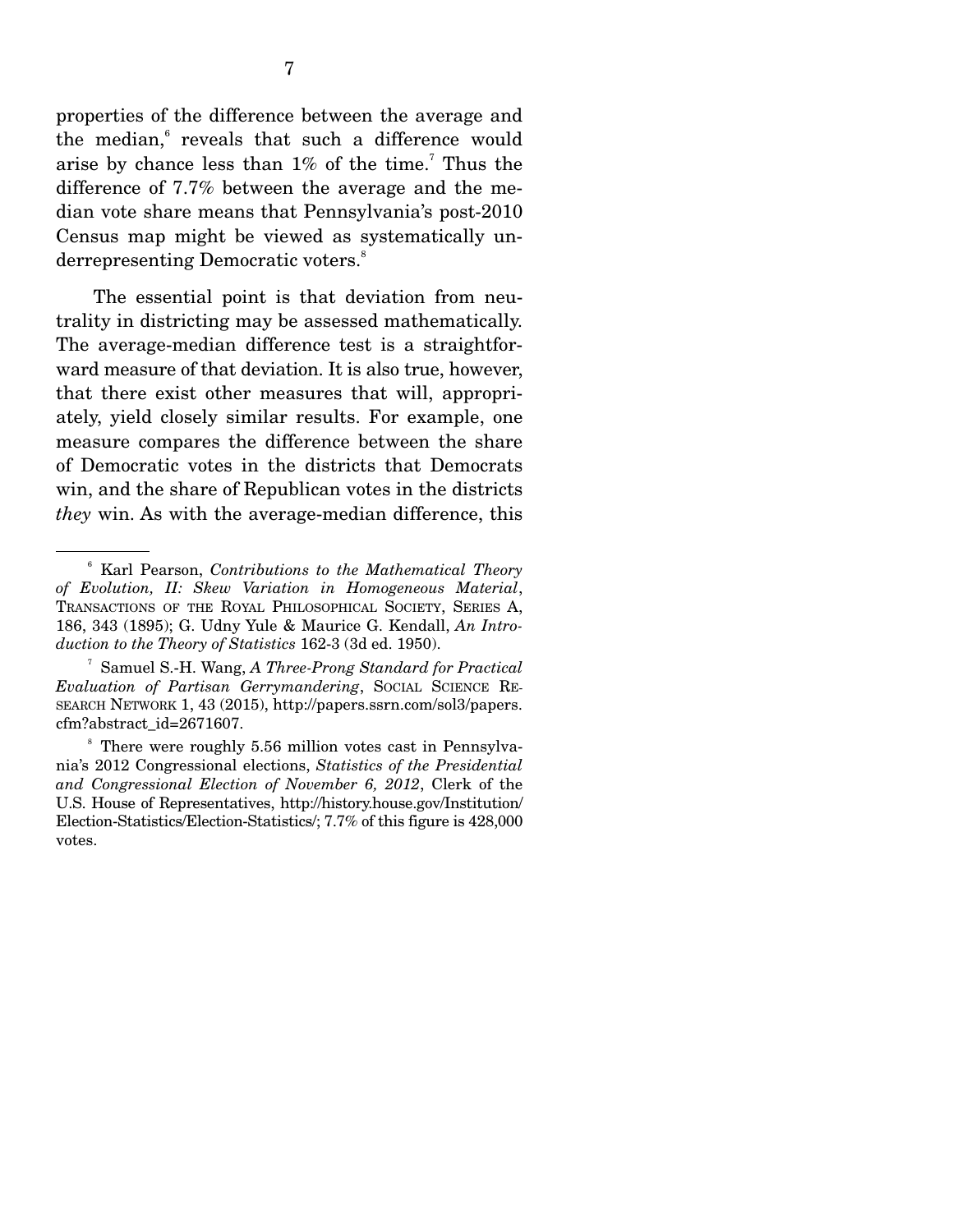properties of the difference between the average and the median,<sup>6</sup> reveals that such a difference would arise by chance less than  $1\%$  of the time.<sup>7</sup> Thus the difference of 7.7% between the average and the median vote share means that Pennsylvania's post-2010 Census map might be viewed as systematically underrepresenting Democratic voters.<sup>8</sup>

 The essential point is that deviation from neutrality in districting may be assessed mathematically. The average-median difference test is a straightforward measure of that deviation. It is also true, however, that there exist other measures that will, appropriately, yield closely similar results. For example, one measure compares the difference between the share of Democratic votes in the districts that Democrats win, and the share of Republican votes in the districts *they* win. As with the average-median difference, this

<sup>6</sup> Karl Pearson, *Contributions to the Mathematical Theory of Evolution, II: Skew Variation in Homogeneous Material*, TRANSACTIONS OF THE ROYAL PHILOSOPHICAL SOCIETY, SERIES A, 186, 343 (1895); G. Udny Yule & Maurice G. Kendall, *An Introduction to the Theory of Statistics* 162-3 (3d ed. 1950).

<sup>7</sup> Samuel S.-H. Wang, *A Three-Prong Standard for Practical Evaluation of Partisan Gerrymandering*, SOCIAL SCIENCE RE-SEARCH NETWORK 1, 43 (2015), http://papers.ssrn.com/sol3/papers. cfm?abstract\_id=2671607.

<sup>&</sup>lt;sup>8</sup> There were roughly 5.56 million votes cast in Pennsylvania's 2012 Congressional elections, *Statistics of the Presidential and Congressional Election of November 6, 2012*, Clerk of the U.S. House of Representatives, http://history.house.gov/Institution/ Election-Statistics/Election-Statistics/; 7.7% of this figure is 428,000 votes.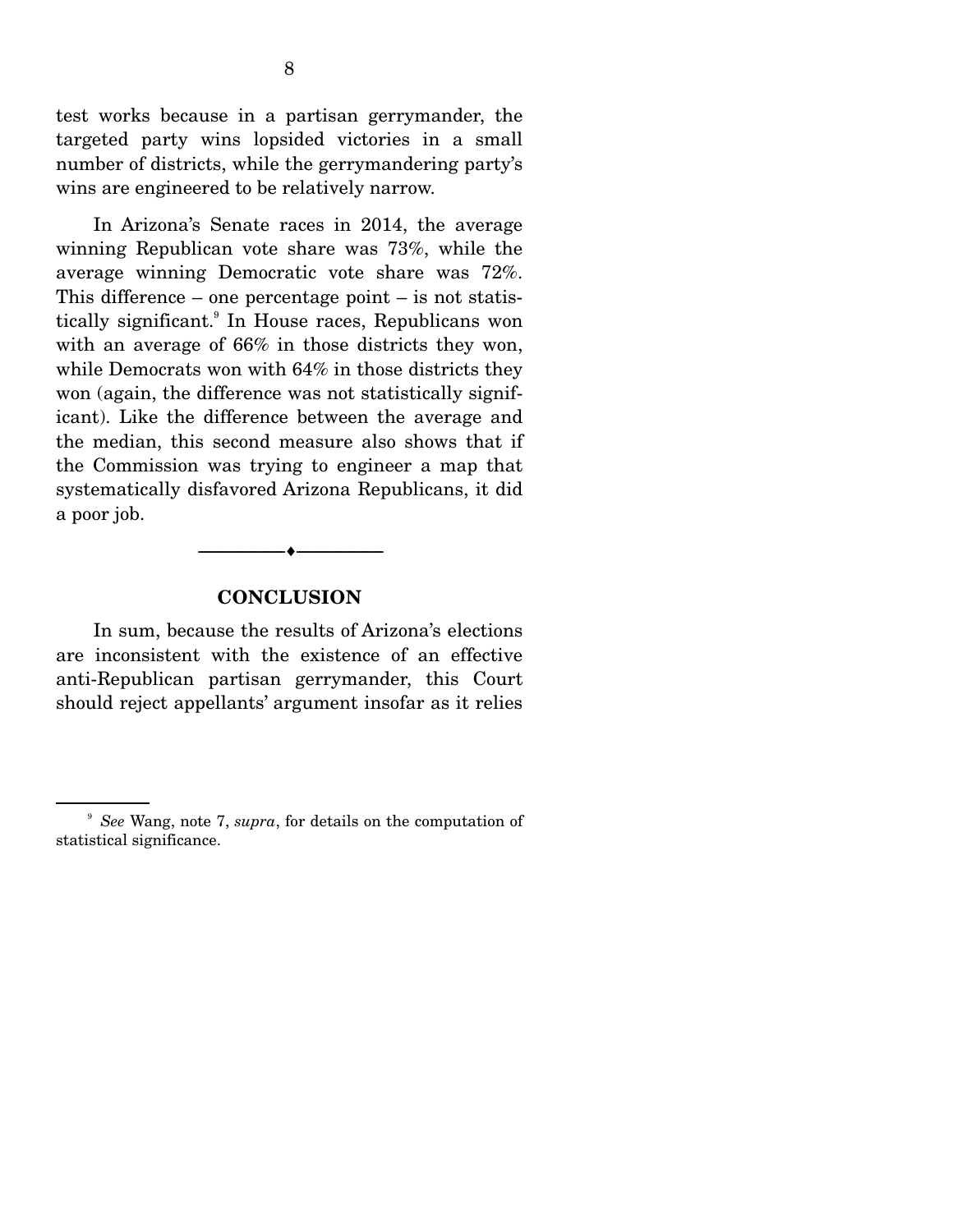test works because in a partisan gerrymander, the targeted party wins lopsided victories in a small number of districts, while the gerrymandering party's wins are engineered to be relatively narrow.

 In Arizona's Senate races in 2014, the average winning Republican vote share was 73%, while the average winning Democratic vote share was 72%. This difference – one percentage point – is not statistically significant.<sup>9</sup> In House races, Republicans won with an average of 66% in those districts they won, while Democrats won with 64% in those districts they won (again, the difference was not statistically significant). Like the difference between the average and the median, this second measure also shows that if the Commission was trying to engineer a map that systematically disfavored Arizona Republicans, it did a poor job.

#### **CONCLUSION**

--------------------------------- ---------------------------------

 In sum, because the results of Arizona's elections are inconsistent with the existence of an effective anti-Republican partisan gerrymander, this Court should reject appellants' argument insofar as it relies

<sup>9</sup> *See* Wang, note 7, *supra*, for details on the computation of statistical significance.